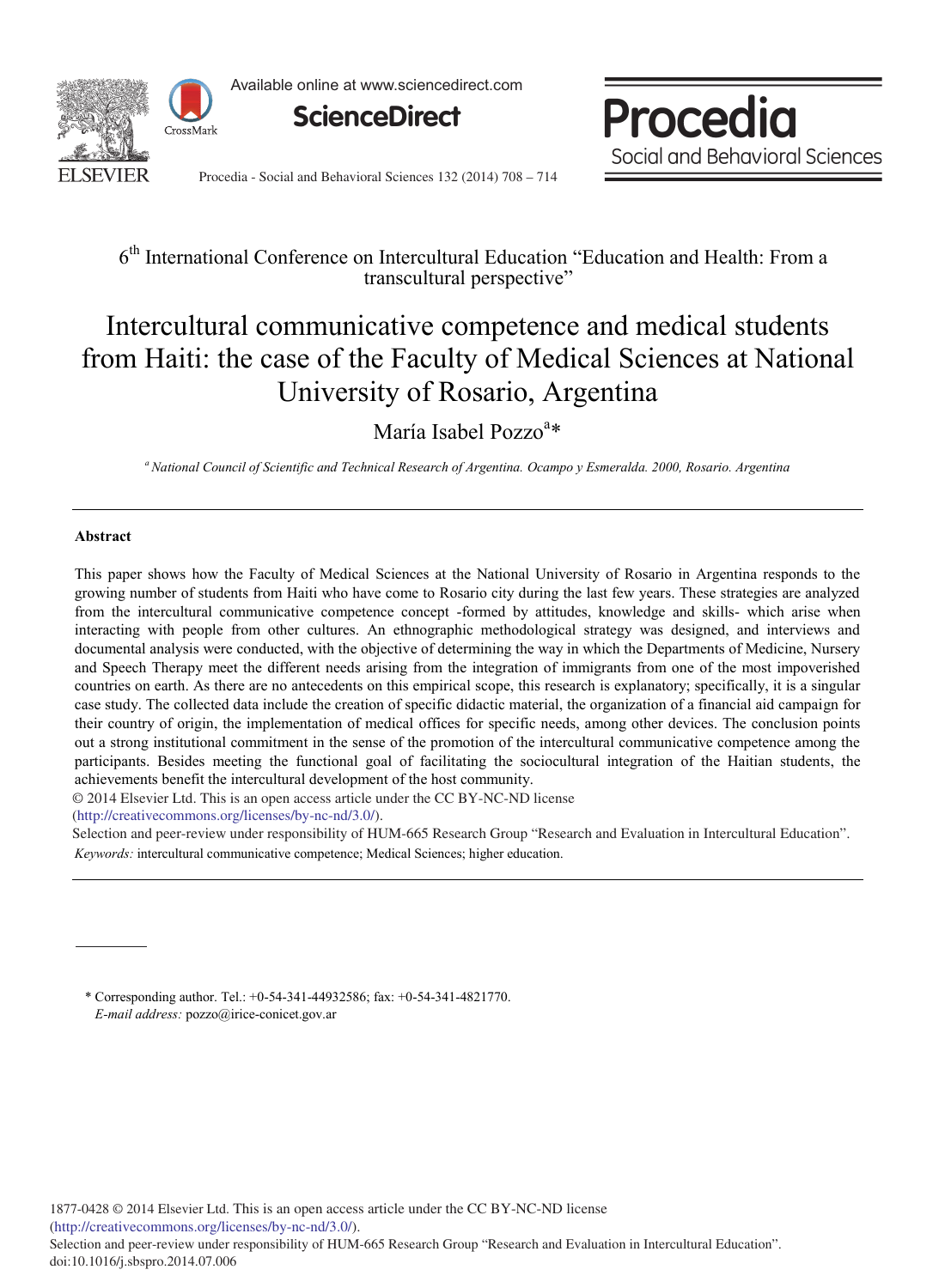

Available online at www.sciencedirect.com



Procedia Social and Behavioral Sciences

Procedia - Social and Behavioral Sciences 132 (2014) 708 - 714

# 6th International Conference on Intercultural Education "Education and Health: From a transcultural perspective"

# Intercultural communicative competence and medical students from Haiti: the case of the Faculty of Medical Sciences at National University of Rosario, Argentina

María Isabel Pozzo<sup>a\*</sup>

*a National Council of Scientific and Technical Research of Argentina. Ocampo y Esmeralda. 2000, Rosario. Argentina*

# **Abstract**

This paper shows how the Faculty of Medical Sciences at the National University of Rosario in Argentina responds to the growing number of students from Haiti who have come to Rosario city during the last few years. These strategies are analyzed from the intercultural communicative competence concept -formed by attitudes, knowledge and skills- which arise when interacting with people from other cultures. An ethnographic methodological strategy was designed, and interviews and documental analysis were conducted, with the objective of determining the way in which the Departments of Medicine, Nursery and Speech Therapy meet the different needs arising from the integration of immigrants from one of the most impoverished countries on earth. As there are no antecedents on this empirical scope, this research is explanatory; specifically, it is a singular case study. The collected data include the creation of specific didactic material, the organization of a financial aid campaign for their country of origin, the implementation of medical offices for specific needs, among other devices. The conclusion points out a strong institutional commitment in the sense of the promotion of the intercultural communicative competence among the participants. Besides meeting the functional goal of facilitating the sociocultural integration of the Haitian students, the achievements benefit the intercultural development of the host community.

© 2014 Elsevier Ltd. This is an open access article under the CC BY-NC-ND license

(http://creativecommons.org/licenses/by-nc-nd/3.0/).

*Keywords:* intercultural communicative competence; Medical Sciences; higher education. Selection and peer-review under responsibility of HUM-665 Research Group "Research and Evaluation in Intercultural Education".

\* Corresponding author. Tel.: +0-54-341-44932586; fax: +0-54-341-4821770. *E-mail address:* pozzo@irice-conicet.gov.ar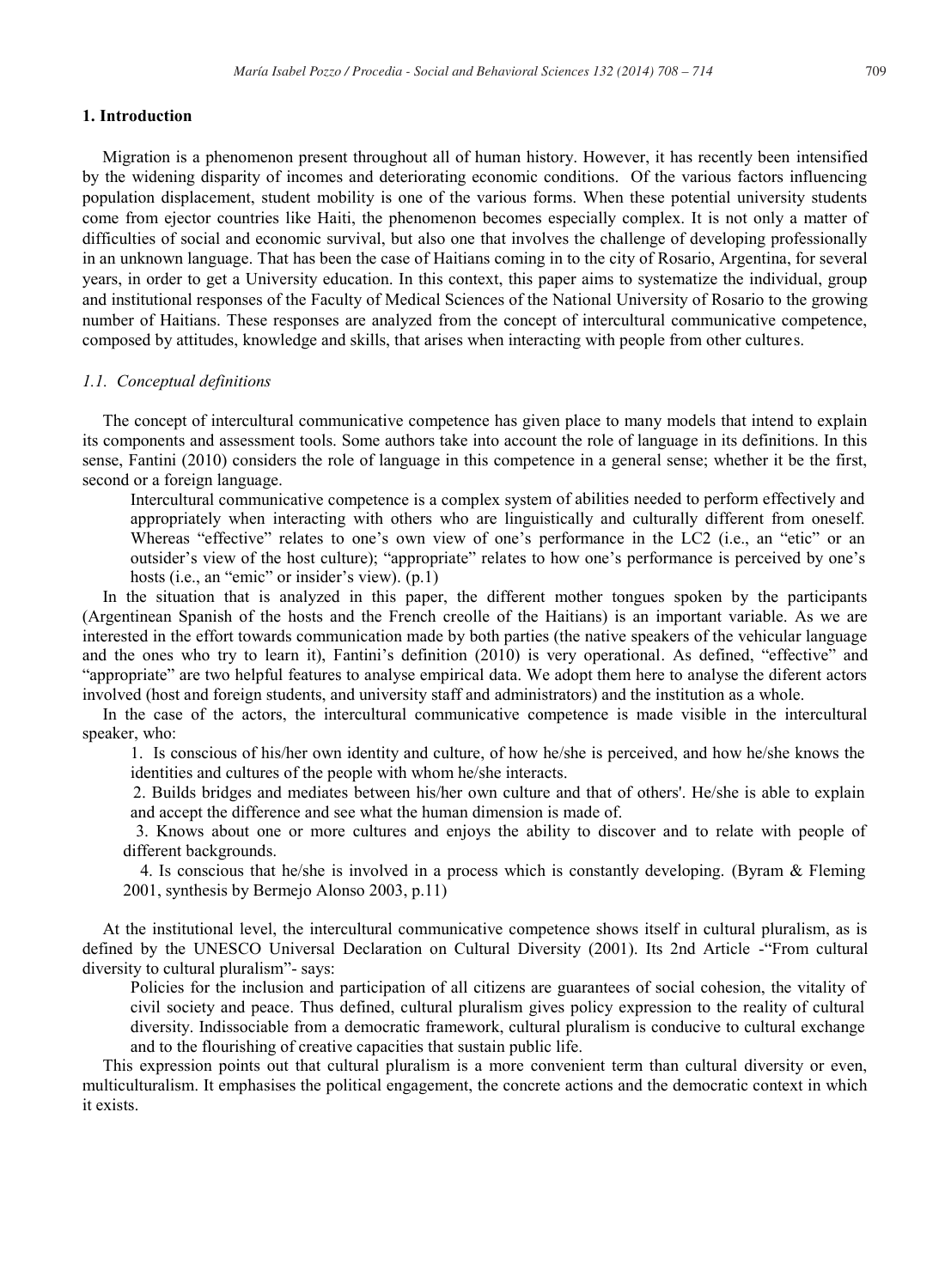# **1. Introduction**

Migration is a phenomenon present throughout all of human history. However, it has recently been intensified by the widening disparity of incomes and deteriorating economic conditions. Of the various factors influencing population displacement, student mobility is one of the various forms. When these potential university students come from ejector countries like Haiti, the phenomenon becomes especially complex. It is not only a matter of difficulties of social and economic survival, but also one that involves the challenge of developing professionally in an unknown language. That has been the case of Haitians coming in to the city of Rosario, Argentina, for several years, in order to get a University education. In this context, this paper aims to systematize the individual, group and institutional responses of the Faculty of Medical Sciences of the National University of Rosario to the growing number of Haitians. These responses are analyzed from the concept of intercultural communicative competence, composed by attitudes, knowledge and skills, that arises when interacting with people from other cultures.

#### *1.1. Conceptual definitions*

The concept of intercultural communicative competence has given place to many models that intend to explain its components and assessment tools. Some authors take into account the role of language in its definitions. In this sense, Fantini (2010) considers the role of language in this competence in a general sense; whether it be the first, second or a foreign language.

Intercultural communicative competence is a complex system of abilities needed to perform effectively and appropriately when interacting with others who are linguistically and culturally different from oneself. Whereas "effective" relates to one's own view of one's performance in the LC2 (i.e., an "etic" or an outsider's view of the host culture); "appropriate" relates to how one's performance is perceived by one's hosts (i.e., an "emic" or insider's view). (p.1)

In the situation that is analyzed in this paper, the different mother tongues spoken by the participants (Argentinean Spanish of the hosts and the French creolle of the Haitians) is an important variable. As we are interested in the effort towards communication made by both parties (the native speakers of the vehicular language and the ones who try to learn it), Fantini's definition (2010) is very operational. As defined, "effective" and "appropriate" are two helpful features to analyse empirical data. We adopt them here to analyse the diferent actors involved (host and foreign students, and university staff and administrators) and the institution as a whole.

In the case of the actors, the intercultural communicative competence is made visible in the intercultural speaker, who:

1. Is conscious of his/her own identity and culture, of how he/she is perceived, and how he/she knows the identities and cultures of the people with whom he/she interacts.

2. Builds bridges and mediates between his/her own culture and that of others'. He/she is able to explain and accept the difference and see what the human dimension is made of.

 3. Knows about one or more cultures and enjoys the ability to discover and to relate with people of different backgrounds.

 4. Is conscious that he/she is involved in a process which is constantly developing. (Byram & Fleming 2001, synthesis by Bermejo Alonso 2003, p.11)

At the institutional level, the intercultural communicative competence shows itself in cultural pluralism, as is defined by the UNESCO Universal Declaration on Cultural Diversity (2001). Its 2nd Article -"From cultural diversity to cultural pluralism"- says:

Policies for the inclusion and participation of all citizens are guarantees of social cohesion, the vitality of civil society and peace. Thus defined, cultural pluralism gives policy expression to the reality of cultural diversity. Indissociable from a democratic framework, cultural pluralism is conducive to cultural exchange and to the flourishing of creative capacities that sustain public life.

This expression points out that cultural pluralism is a more convenient term than cultural diversity or even, multiculturalism. It emphasises the political engagement, the concrete actions and the democratic context in which it exists.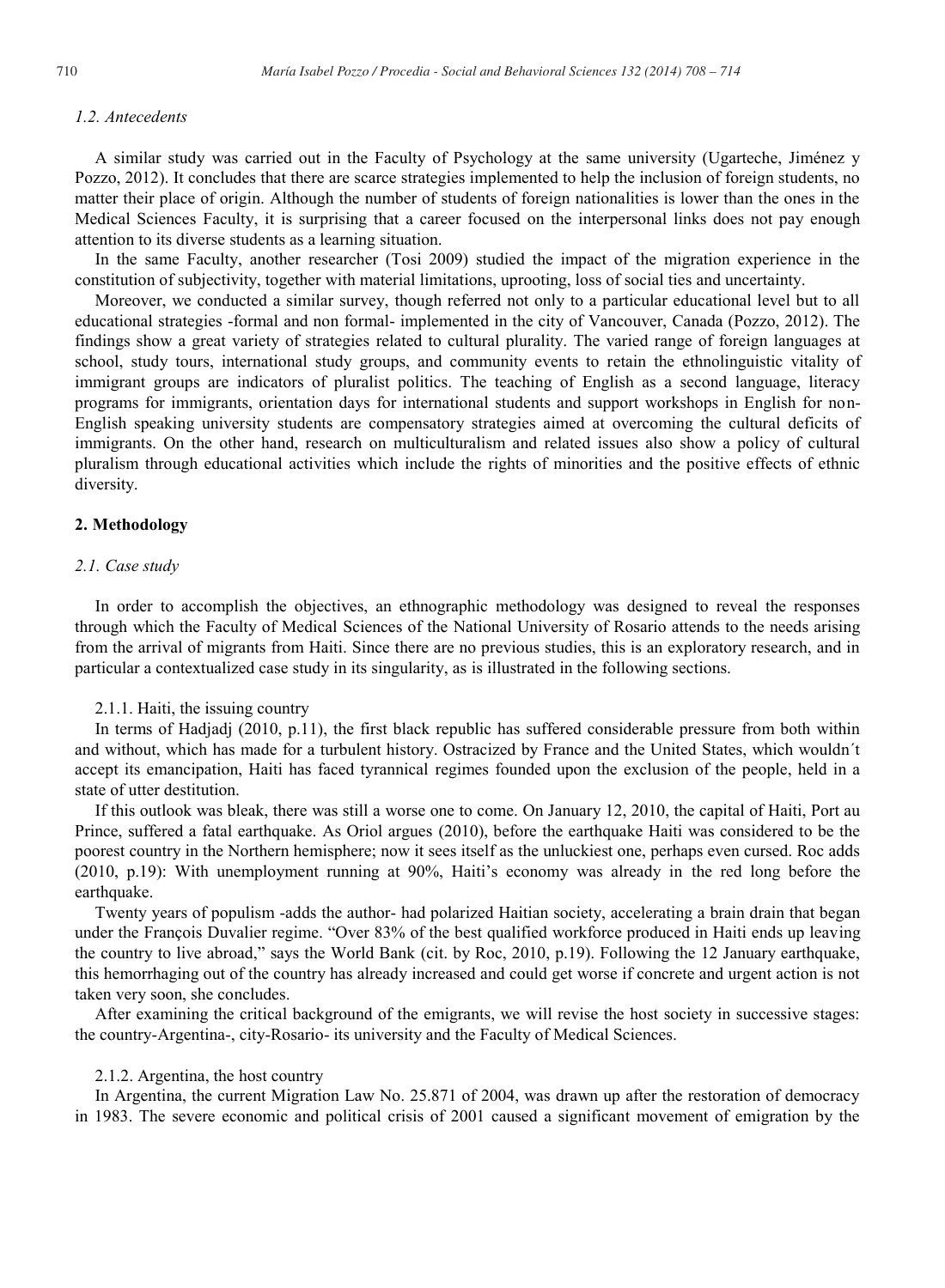#### *1.2. Antecedents*

A similar study was carried out in the Faculty of Psychology at the same university (Ugarteche, Jiménez y Pozzo, 2012). It concludes that there are scarce strategies implemented to help the inclusion of foreign students, no matter their place of origin. Although the number of students of foreign nationalities is lower than the ones in the Medical Sciences Faculty, it is surprising that a career focused on the interpersonal links does not pay enough attention to its diverse students as a learning situation.

In the same Faculty, another researcher (Tosi 2009) studied the impact of the migration experience in the constitution of subjectivity, together with material limitations, uprooting, loss of social ties and uncertainty.

Moreover, we conducted a similar survey, though referred not only to a particular educational level but to all educational strategies -formal and non formal- implemented in the city of Vancouver, Canada (Pozzo, 2012). The findings show a great variety of strategies related to cultural plurality. The varied range of foreign languages at school, study tours, international study groups, and community events to retain the ethnolinguistic vitality of immigrant groups are indicators of pluralist politics. The teaching of English as a second language, literacy programs for immigrants, orientation days for international students and support workshops in English for non-English speaking university students are compensatory strategies aimed at overcoming the cultural deficits of immigrants. On the other hand, research on multiculturalism and related issues also show a policy of cultural pluralism through educational activities which include the rights of minorities and the positive effects of ethnic diversity.

# **2. Methodology**

#### *2.1. Case study*

In order to accomplish the objectives, an ethnographic methodology was designed to reveal the responses through which the Faculty of Medical Sciences of the National University of Rosario attends to the needs arising from the arrival of migrants from Haiti. Since there are no previous studies, this is an exploratory research, and in particular a contextualized case study in its singularity, as is illustrated in the following sections.

#### 2.1.1. Haiti, the issuing country

In terms of Hadjadj (2010, p.11), the first black republic has suffered considerable pressure from both within and without, which has made for a turbulent history. Ostracized by France and the United States, which wouldn´t accept its emancipation, Haiti has faced tyrannical regimes founded upon the exclusion of the people, held in a state of utter destitution.

If this outlook was bleak, there was still a worse one to come. On January 12, 2010, the capital of Haiti, Port au Prince, suffered a fatal earthquake. As Oriol argues (2010), before the earthquake Haiti was considered to be the poorest country in the Northern hemisphere; now it sees itself as the unluckiest one, perhaps even cursed. Roc adds (2010, p.19): With unemployment running at 90%, Haiti's economy was already in the red long before the earthquake.

Twenty years of populism -adds the author- had polarized Haitian society, accelerating a brain drain that began under the François Duvalier regime. "Over 83% of the best qualified workforce produced in Haiti ends up leaving the country to live abroad," says the World Bank (cit. by Roc, 2010, p.19). Following the 12 January earthquake, this hemorrhaging out of the country has already increased and could get worse if concrete and urgent action is not taken very soon, she concludes.

After examining the critical background of the emigrants, we will revise the host society in successive stages: the country-Argentina-, city-Rosario- its university and the Faculty of Medical Sciences.

#### 2.1.2. Argentina, the host country

In Argentina, the current Migration Law No. 25.871 of 2004, was drawn up after the restoration of democracy in 1983. The severe economic and political crisis of 2001 caused a significant movement of emigration by the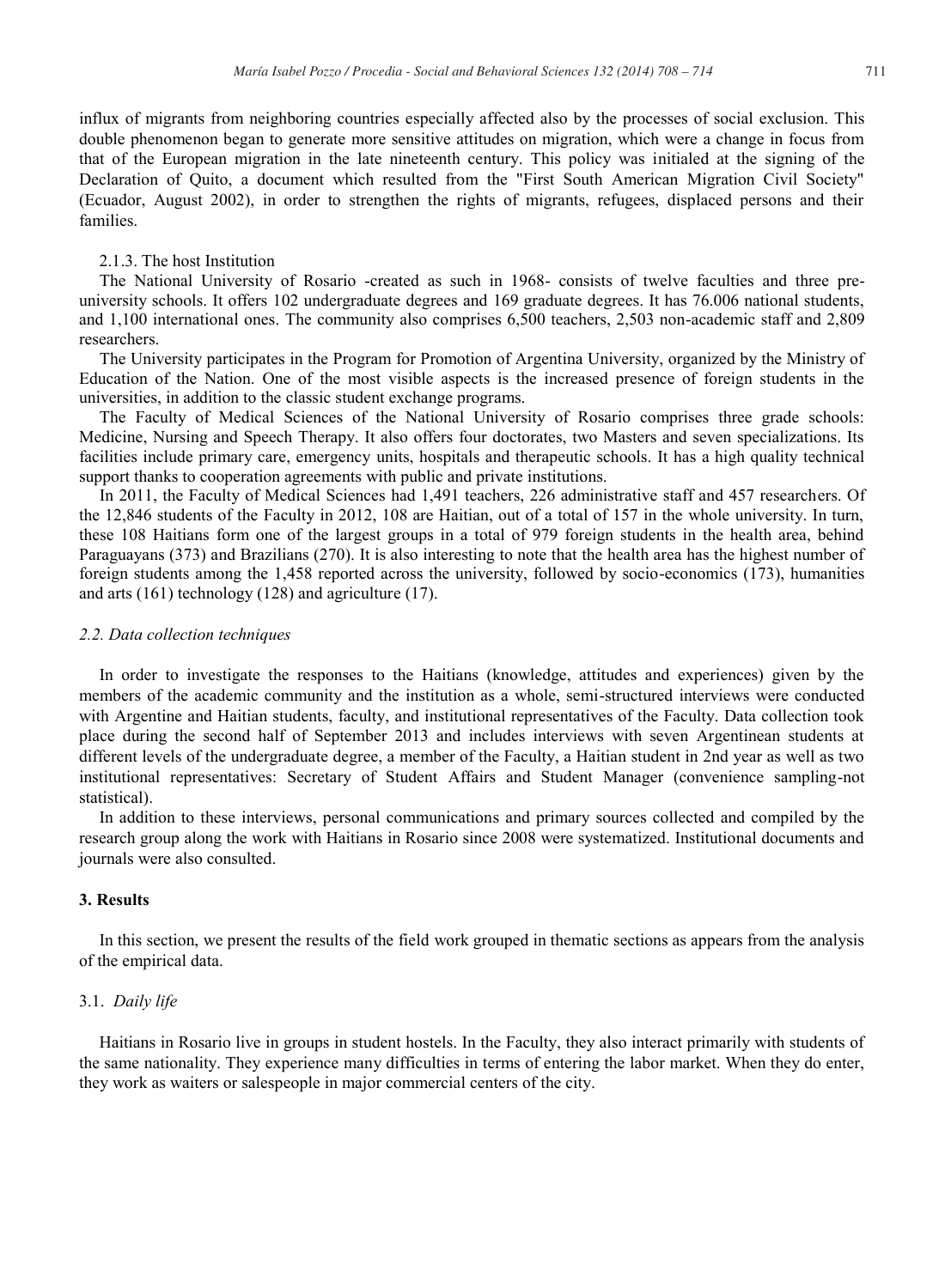influx of migrants from neighboring countries especially affected also by the processes of social exclusion. This double phenomenon began to generate more sensitive attitudes on migration, which were a change in focus from that of the European migration in the late nineteenth century. This policy was initialed at the signing of the Declaration of Quito, a document which resulted from the "First South American Migration Civil Society" (Ecuador, August 2002), in order to strengthen the rights of migrants, refugees, displaced persons and their families.

# 2.1.3. The host Institution

The National University of Rosario -created as such in 1968- consists of twelve faculties and three preuniversity schools. It offers 102 undergraduate degrees and 169 graduate degrees. It has 76.006 national students, and 1,100 international ones. The community also comprises 6,500 teachers, 2,503 non-academic staff and 2,809 researchers.

The University participates in the Program for Promotion of Argentina University, organized by the Ministry of Education of the Nation. One of the most visible aspects is the increased presence of foreign students in the universities, in addition to the classic student exchange programs.

The Faculty of Medical Sciences of the National University of Rosario comprises three grade schools: Medicine, Nursing and Speech Therapy. It also offers four doctorates, two Masters and seven specializations. Its facilities include primary care, emergency units, hospitals and therapeutic schools. It has a high quality technical support thanks to cooperation agreements with public and private institutions.

In 2011, the Faculty of Medical Sciences had 1,491 teachers, 226 administrative staff and 457 researchers. Of the 12,846 students of the Faculty in 2012, 108 are Haitian, out of a total of 157 in the whole university. In turn, these 108 Haitians form one of the largest groups in a total of 979 foreign students in the health area, behind Paraguayans (373) and Brazilians (270). It is also interesting to note that the health area has the highest number of foreign students among the 1,458 reported across the university, followed by socio-economics (173), humanities and arts (161) technology (128) and agriculture (17).

#### *2.2. Data collection techniques*

In order to investigate the responses to the Haitians (knowledge, attitudes and experiences) given by the members of the academic community and the institution as a whole, semi-structured interviews were conducted with Argentine and Haitian students, faculty, and institutional representatives of the Faculty. Data collection took place during the second half of September 2013 and includes interviews with seven Argentinean students at different levels of the undergraduate degree, a member of the Faculty, a Haitian student in 2nd year as well as two institutional representatives: Secretary of Student Affairs and Student Manager (convenience sampling-not statistical).

In addition to these interviews, personal communications and primary sources collected and compiled by the research group along the work with Haitians in Rosario since 2008 were systematized. Institutional documents and journals were also consulted.

# **3. Results**

In this section, we present the results of the field work grouped in thematic sections as appears from the analysis of the empirical data.

# 3.1. *Daily life*

Haitians in Rosario live in groups in student hostels. In the Faculty, they also interact primarily with students of the same nationality. They experience many difficulties in terms of entering the labor market. When they do enter, they work as waiters or salespeople in major commercial centers of the city.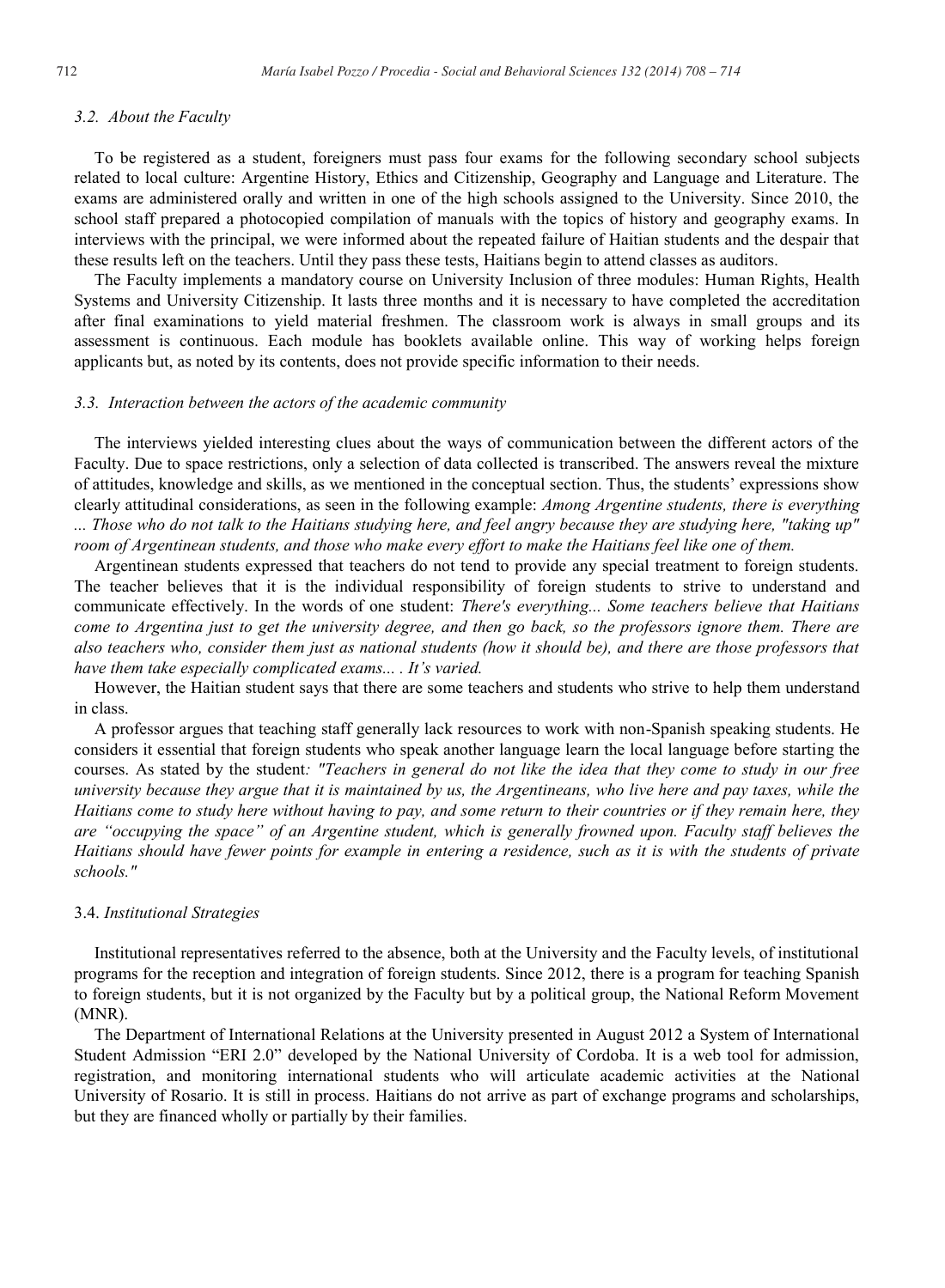### *3.2. About the Faculty*

To be registered as a student, foreigners must pass four exams for the following secondary school subjects related to local culture: Argentine History, Ethics and Citizenship, Geography and Language and Literature. The exams are administered orally and written in one of the high schools assigned to the University. Since 2010, the school staff prepared a photocopied compilation of manuals with the topics of history and geography exams. In interviews with the principal, we were informed about the repeated failure of Haitian students and the despair that these results left on the teachers. Until they pass these tests, Haitians begin to attend classes as auditors.

The Faculty implements a mandatory course on University Inclusion of three modules: Human Rights, Health Systems and University Citizenship. It lasts three months and it is necessary to have completed the accreditation after final examinations to yield material freshmen. The classroom work is always in small groups and its assessment is continuous. Each module has booklets available online. This way of working helps foreign applicants but, as noted by its contents, does not provide specific information to their needs.

#### *3.3. Interaction between the actors of the academic community*

The interviews yielded interesting clues about the ways of communication between the different actors of the Faculty. Due to space restrictions, only a selection of data collected is transcribed. The answers reveal the mixture of attitudes, knowledge and skills, as we mentioned in the conceptual section. Thus, the students' expressions show clearly attitudinal considerations, as seen in the following example: *Among Argentine students, there is everything ... Those who do not talk to the Haitians studying here, and feel angry because they are studying here, "taking up" room of Argentinean students, and those who make every effort to make the Haitians feel like one of them.*

Argentinean students expressed that teachers do not tend to provide any special treatment to foreign students. The teacher believes that it is the individual responsibility of foreign students to strive to understand and communicate effectively. In the words of one student: *There's everything... Some teachers believe that Haitians come to Argentina just to get the university degree, and then go back, so the professors ignore them. There are also teachers who, consider them just as national students (how it should be), and there are those professors that have them take especially complicated exams... . It's varied.*

However, the Haitian student says that there are some teachers and students who strive to help them understand in class.

A professor argues that teaching staff generally lack resources to work with non-Spanish speaking students. He considers it essential that foreign students who speak another language learn the local language before starting the courses. As stated by the student*: "Teachers in general do not like the idea that they come to study in our free university because they argue that it is maintained by us, the Argentineans, who live here and pay taxes, while the Haitians come to study here without having to pay, and some return to their countries or if they remain here, they are "occupying the space" of an Argentine student, which is generally frowned upon. Faculty staff believes the Haitians should have fewer points for example in entering a residence, such as it is with the students of private schools."*

#### 3.4. *Institutional Strategies*

Institutional representatives referred to the absence, both at the University and the Faculty levels, of institutional programs for the reception and integration of foreign students. Since 2012, there is a program for teaching Spanish to foreign students, but it is not organized by the Faculty but by a political group, the National Reform Movement (MNR).

The Department of International Relations at the University presented in August 2012 a System of International Student Admission "ERI 2.0" developed by the National University of Cordoba. It is a web tool for admission, registration, and monitoring international students who will articulate academic activities at the National University of Rosario. It is still in process. Haitians do not arrive as part of exchange programs and scholarships, but they are financed wholly or partially by their families.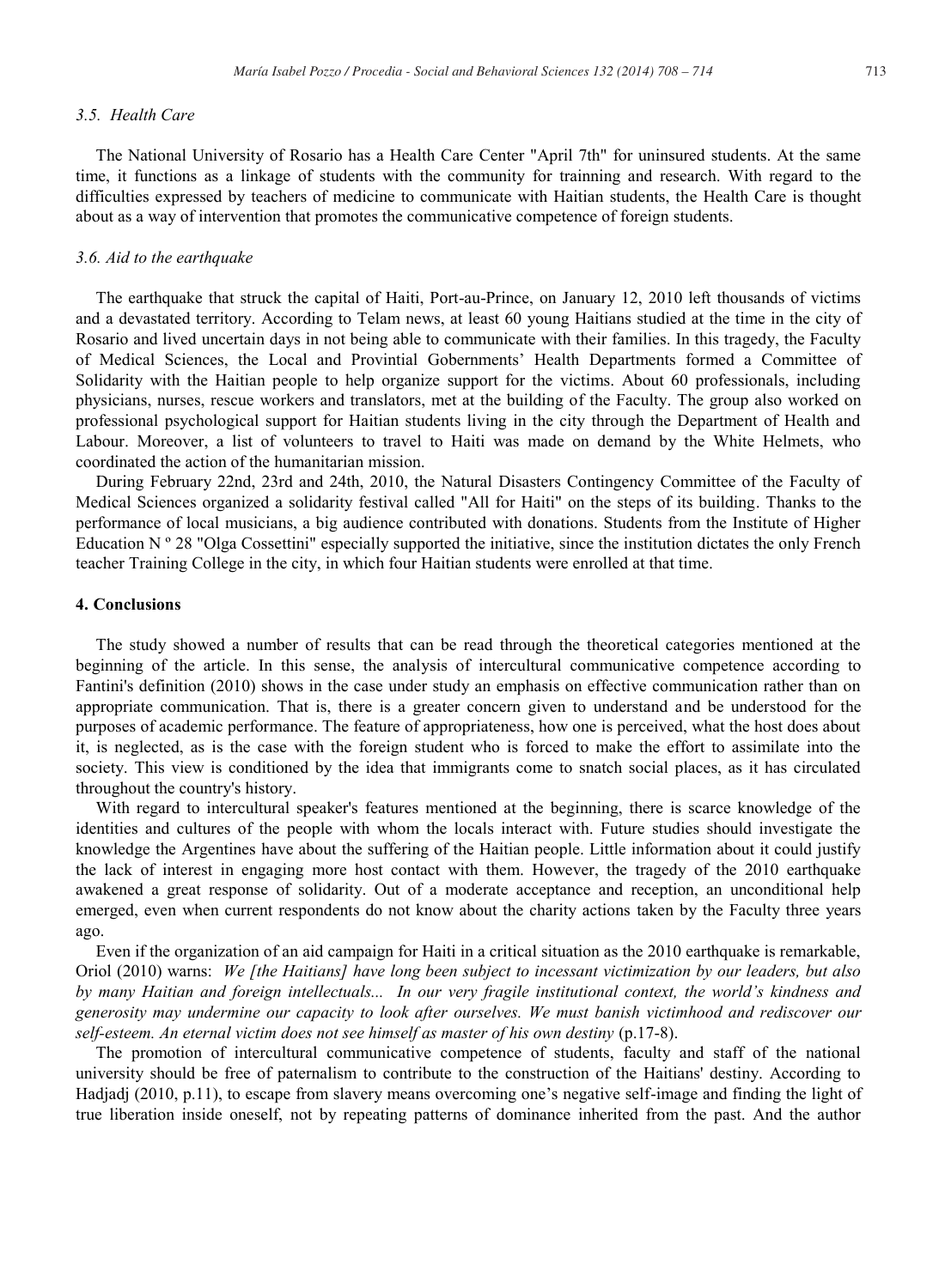# *3.5. Health Care*

The National University of Rosario has a Health Care Center "April 7th" for uninsured students. At the same time, it functions as a linkage of students with the community for trainning and research. With regard to the difficulties expressed by teachers of medicine to communicate with Haitian students, the Health Care is thought about as a way of intervention that promotes the communicative competence of foreign students.

#### *3.6. Aid to the earthquake*

The earthquake that struck the capital of Haiti, Port-au-Prince, on January 12, 2010 left thousands of victims and a devastated territory. According to Telam news, at least 60 young Haitians studied at the time in the city of Rosario and lived uncertain days in not being able to communicate with their families. In this tragedy, the Faculty of Medical Sciences, the Local and Provintial Gobernments' Health Departments formed a Committee of Solidarity with the Haitian people to help organize support for the victims. About 60 professionals, including physicians, nurses, rescue workers and translators, met at the building of the Faculty. The group also worked on professional psychological support for Haitian students living in the city through the Department of Health and Labour. Moreover, a list of volunteers to travel to Haiti was made on demand by the White Helmets, who coordinated the action of the humanitarian mission.

During February 22nd, 23rd and 24th, 2010, the Natural Disasters Contingency Committee of the Faculty of Medical Sciences organized a solidarity festival called "All for Haiti" on the steps of its building. Thanks to the performance of local musicians, a big audience contributed with donations. Students from the Institute of Higher Education N  $\degree$  28 "Olga Cossettini" especially supported the initiative, since the institution dictates the only French teacher Training College in the city, in which four Haitian students were enrolled at that time.

# **4. Conclusions**

The study showed a number of results that can be read through the theoretical categories mentioned at the beginning of the article. In this sense, the analysis of intercultural communicative competence according to Fantini's definition (2010) shows in the case under study an emphasis on effective communication rather than on appropriate communication. That is, there is a greater concern given to understand and be understood for the purposes of academic performance. The feature of appropriateness, how one is perceived, what the host does about it, is neglected, as is the case with the foreign student who is forced to make the effort to assimilate into the society. This view is conditioned by the idea that immigrants come to snatch social places, as it has circulated throughout the country's history.

With regard to intercultural speaker's features mentioned at the beginning, there is scarce knowledge of the identities and cultures of the people with whom the locals interact with. Future studies should investigate the knowledge the Argentines have about the suffering of the Haitian people. Little information about it could justify the lack of interest in engaging more host contact with them. However, the tragedy of the 2010 earthquake awakened a great response of solidarity. Out of a moderate acceptance and reception, an unconditional help emerged, even when current respondents do not know about the charity actions taken by the Faculty three years ago.

Even if the organization of an aid campaign for Haiti in a critical situation as the 2010 earthquake is remarkable, Oriol (2010) warns: *We [the Haitians] have long been subject to incessant victimization by our leaders, but also by many Haitian and foreign intellectuals... In our very fragile institutional context, the world's kindness and generosity may undermine our capacity to look after ourselves. We must banish victimhood and rediscover our*  self-esteem. An eternal victim does not see himself as master of his own destiny (p.17-8).

The promotion of intercultural communicative competence of students, faculty and staff of the national university should be free of paternalism to contribute to the construction of the Haitians' destiny. According to Hadjadj (2010, p.11), to escape from slavery means overcoming one's negative self-image and finding the light of true liberation inside oneself, not by repeating patterns of dominance inherited from the past. And the author